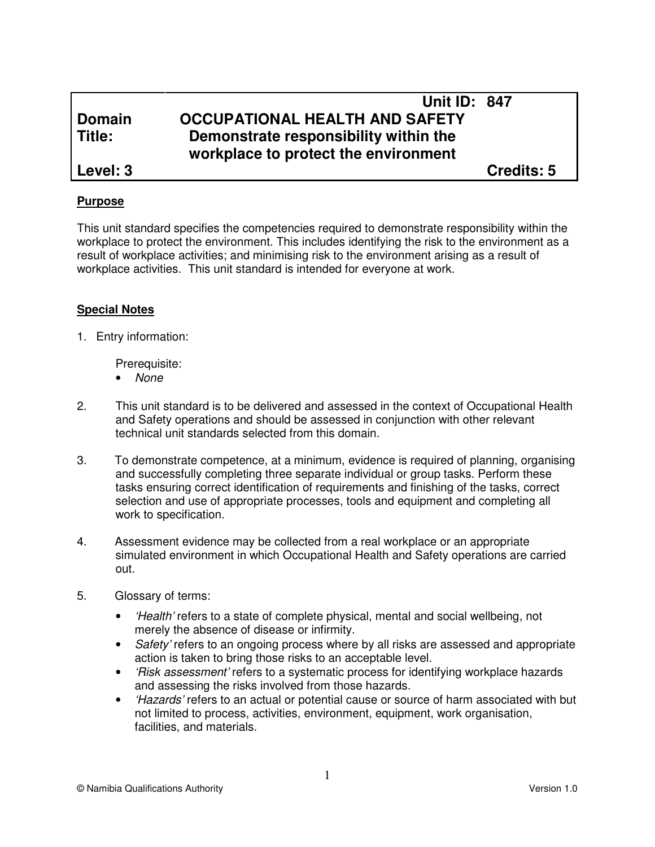# **Unit ID: 847 Domain OCCUPATIONAL HEALTH AND SAFETY Title: Demonstrate responsibility within the workplace to protect the environment Level: 3 Credits: 5**

## **Purpose**

This unit standard specifies the competencies required to demonstrate responsibility within the workplace to protect the environment. This includes identifying the risk to the environment as a result of workplace activities; and minimising risk to the environment arising as a result of workplace activities. This unit standard is intended for everyone at work.

#### **Special Notes**

1. Entry information:

Prerequisite:

- None
- 2. This unit standard is to be delivered and assessed in the context of Occupational Health and Safety operations and should be assessed in conjunction with other relevant technical unit standards selected from this domain.
- 3. To demonstrate competence, at a minimum, evidence is required of planning, organising and successfully completing three separate individual or group tasks. Perform these tasks ensuring correct identification of requirements and finishing of the tasks, correct selection and use of appropriate processes, tools and equipment and completing all work to specification.
- 4. Assessment evidence may be collected from a real workplace or an appropriate simulated environment in which Occupational Health and Safety operations are carried out.
- 5. Glossary of terms:
	- *Health'* refers to a state of complete physical, mental and social wellbeing, not merely the absence of disease or infirmity.
	- Safety' refers to an ongoing process where by all risks are assessed and appropriate action is taken to bring those risks to an acceptable level.
	- *Hisk assessment'* refers to a systematic process for identifying workplace hazards and assessing the risks involved from those hazards.
	- *Hazards'* refers to an actual or potential cause or source of harm associated with but not limited to process, activities, environment, equipment, work organisation, facilities, and materials.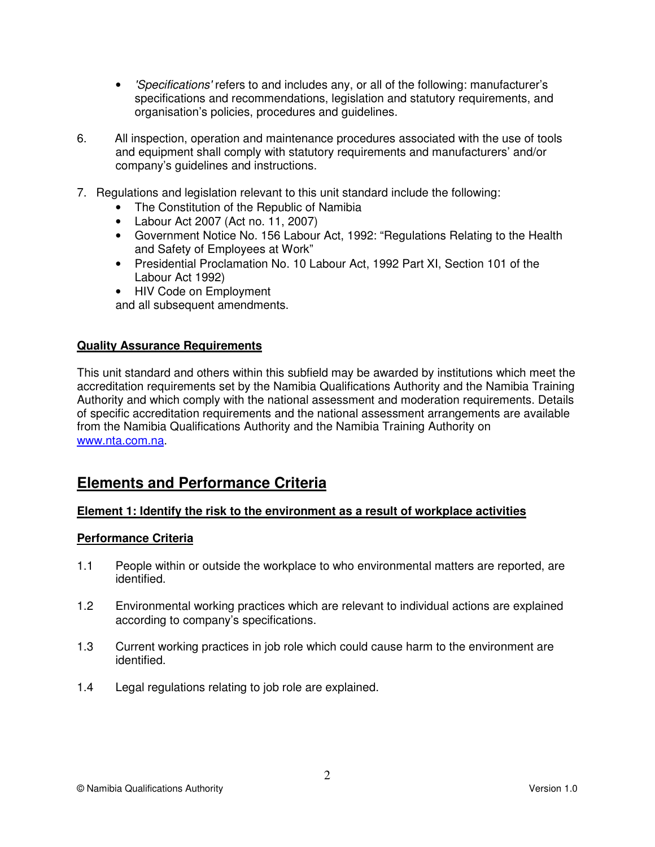- 'Specifications' refers to and includes any, or all of the following: manufacturer's specifications and recommendations, legislation and statutory requirements, and organisation's policies, procedures and guidelines.
- 6. All inspection, operation and maintenance procedures associated with the use of tools and equipment shall comply with statutory requirements and manufacturers' and/or company's guidelines and instructions.
- 7. Regulations and legislation relevant to this unit standard include the following:
	- The Constitution of the Republic of Namibia
	- Labour Act 2007 (Act no. 11, 2007)
	- Government Notice No. 156 Labour Act, 1992: "Regulations Relating to the Health and Safety of Employees at Work"
	- Presidential Proclamation No. 10 Labour Act, 1992 Part XI, Section 101 of the Labour Act 1992)
	- HIV Code on Employment

and all subsequent amendments.

#### **Quality Assurance Requirements**

This unit standard and others within this subfield may be awarded by institutions which meet the accreditation requirements set by the Namibia Qualifications Authority and the Namibia Training Authority and which comply with the national assessment and moderation requirements. Details of specific accreditation requirements and the national assessment arrangements are available from the Namibia Qualifications Authority and the Namibia Training Authority on www.nta.com.na.

# **Elements and Performance Criteria**

#### **Element 1: Identify the risk to the environment as a result of workplace activities**

#### **Performance Criteria**

- 1.1 People within or outside the workplace to who environmental matters are reported, are identified.
- 1.2 Environmental working practices which are relevant to individual actions are explained according to company's specifications.
- 1.3 Current working practices in job role which could cause harm to the environment are identified.
- 1.4 Legal regulations relating to job role are explained.